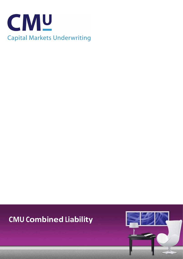

# **CMU Combined Liability**

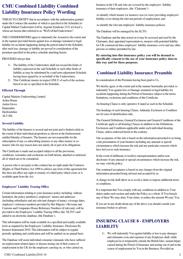## **CMU Combined Liability Combined Liability Insurance Policy Wording**

THIS IS TO CERTIFY that in accordance with the authorisation granted under the Contract (the number of which is specified in the Schedule) to Capital Market Underwriters Ltd by Argenta Syndicate 2121 at Lloyd's, whom are herein after referred to as "We/Us/Our/Underwriters".

THE UNDERWRITERS agree to indemnify the Assured to the extent and in the manner provided herein against loss or damage sustained or legal liability for accidents happening during the period stated in the Schedule, after such loss, damage or liability are proved in consideration of the premium specified in the policy schedule attaching hereto.

#### PROVIDED always that:

- 1) The liability of the Underwriters shall not exceed the limits of liability expressed in the said Schedule or such other limits of liability as may be substituted by a mid term adjustment Schedule having been signed by or on behalf of the Underwriters;
- 2) This Certificate insures in respect ONLY of such of the sections hereof as are so specified in the Schedule.

#### **Effected Through**

Capital Markets Underwriting Limited Arden House Arden Grove **Harpenden** Hertfordshire AL5 4SL

#### **Several Liability**

The liability of the Insurers is several and not joint and is limited solely to the extent of their individual proportions as shown in the Endorsement entitled Identity of Insurers. The Insurers are not responsible for the subscription of any co-subscribing insurers or any other insurer or coinsurer who for any reason does not satisfy all or part of its obligations.

The Certificate is made and accepted subject to all the provisions, conditions, warranties and exclusions set forth herein, attached or endorsed, all of which are to be considered.

A person who is not party to this contract has no right under the Contracts (Rights of Third Parties) Act 1999 to enforce any term of this agreement but this does not affect any right or remedy of a third party which exists or is available apart from the Act.

#### **Employers' Liability Tracing Office**

Certain information relating to your insurance policy including, without limitation, the policy number(s), employers' names and addresses (including subsidiaries and any relevant changes of name), coverage dates, employer's reference numbers provided by Her Majesty's Revenue and Customs and Companies House Reference Numbers (if relevant), will be provided to the Employers' Liability Tracing Office (the 'ELTO') and added to an electronic database, (the Database').

This information will be made available in a specified and readily available form as required by the Employers' Liability Insurance: Disclosure By Insurers Instrument 2010. This information will be subject to regular periodic updating and certification and will be audited on an annual basis.

The Database will assist individual consumer claimants who have suffered an employment related injury or disease arising out of their course of employment in the UK for the employers carrying on, or who carried on,

CMU Combined Liability2016 10 2

business in the UK and who are covered by the employers' liability insurance of their employers, (the 'Claimants'):

-to identify which insurer (or insurers) was (or were) providing employers' liability cover during the relevant periods of employment; and

-to identify the relevant employers' liability insurance policies.

The Database will be managed by the ELTO.

The Database and the data stored on it may be accessed and used by the Claimants, their appointed representatives, insurers with potential liability for UK commercial lines employers' liability insurance cover and any other persons or entities permitted by law.

#### **By entering into this insurance policy you will be deemed to specifically consent to the use of your insurance policy data in this way and for these purposes.**

## **Combined Liability Insurance Preamble**

In consideration of the Premium having been paid to Us,

We hereby agree, to the extent and in the manner hereinafter provided, to indemnify You against loss or Damage sustained or legal liability for accidents happening during the Period of Insurance subject to the terms, limitations, exclusions and conditions of this Certificate.

An Insuring Clause is only operative if stated as such in the Schedule.

The headings of each Insuring Clause, Addenda, Exclusion or Condition are for ease of identification only.

The General Definitions, General Exclusions and General Conditions of the Certificate apply to all Insuring Clauses in addition to the Definitions, Exclusions and Conditions applicable under each individual Insuring Clause, unless endorsed herein to the contrary.

Our acceptance of this risk is based on the information presented to us being a fair presentation of your business including any unusual or special circumstances which increase the risk and any particular concerns which have led you to seek insurance.

In the event of deliberate or reckless misrepresentation and/or nondisclosure of any unusual or special circumstances which increase the risk, we may void the policy.

Our continued acceptance is based on any changes from the original information presented being advised and accepted by us.

A change in risk shall allow us to avoid a claim or impose additional terms or conditions.

It is important that You comply with any conditions in addition to Your duties under each section and under the Policy as a whole. If You breach any of these We may deny Your claim, or reduce the amount We pay You.

If you are in any doubt about any of the above you should consult your insurance broker or advisor.

## **INSURING CLAUSE 8 - EMPLOYERS LIABILITY**

1) We will indemnify You against liability at law to pay damages and claimants costs and expenses if any Employee shall, while employed in or temporarily outside the British Isles, sustain Injury caused during the Period of Insurance and arising out of and in the course of employment by You in the Business; Provided an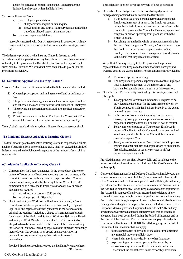action for damages is brought against the Assured under the jurisdiction of a court within the British Isles.

#### 2) We will also pay Your

- a) costs of legal representation
	- i) at any coroner's inquest or fatal inquiry
	- ii) proceedings in any court of summary jurisdiction arising out of any alleged breach of statutory duty
- b) costs and expenses of defence

reasonably incurred, with Our written consent, in connection with any matter which may be the subject of indemnity under Insuring Clause 8(1)

The indemnity provided by this Insuring Clause is deemed to be in accordance with the provisions of any law relating to compulsory insurance of liability to Employees in the British Isles but You will repay to Us all sums paid by Us which We would not have been liable to pay but for the provisions of such law.

#### **(A) Definitions Applicable to Insuring Clause 8**

"Business" shall mean the Business stated in the Schedule and shall include

- 1) Ownership, occupation and maintenance of land or buildings by You
- 2) The provision and management of canteen, social, sports, welfare and other facilities and organisations for the benefit of Employees
- 3) The provision and operation of first aid, fire, medical andsecurity services
- 4) Private duties undertaken by an Employee for You or, with Your consent, for any director or partner of Yours or any Employee.

"Injury" shall mean bodily injury, death, disease, illness or nervous shock.

#### **(B) Limit and Excess Applicable to Insuring Clause 8**

The total amount payable under this Insuring Clause in respect of all claims against You arising from one originating cause shall not exceed the Limit of Indemnity stated in the Schedule irrespective of the number of such claims or claimants.

#### **(C) Addenda Applicable to Insuring Clause 8**

- 1) Compensation for Court Attendance. In the event of any director or partner of Yours or any Employee attending court as a witness, at Our request, in connection with any claim in respect of which You are entitled to indemnity under this Insuring Clause, We will provide compensation to You at the following rates for each day on which attendance is required
	- a) Any director or partner £250 per day
	- b) Any Employee £150 per day
- 2) Health and Safety at Work. We will indemnify You and, at Your request, any director or partner of Yours or any Employee against legal costs and expenses reasonably incurred in the defence of any criminal proceedings (including a charge of manslaughter) brought for a breach of the Health and Safety at Work Act 1974 or the Health and Safety at Work (Northern Ireland) Order 1978 committed or alleged to have been committed in the course of the Business during the Period of Insurance, including legal costs and expenses reasonably incurred, with Our consent, in an appeal against conviction or prosecution costs awarded against You arising from such proceedings;

Provided that the proceedings relate to the health, safety and welfare of Employees.

This extension does not cover the payment of fines or penalties.

- 3) Unsatisfied Court Judgements. In the event of a judgement for damages being obtained in any court in the British Isles
	- a) By an Employee or the personal representatives of such Employee, in respect of injury to the Employee caused during the Period of Insurance and arising out of and in the course of employment by You in the Business, against any company or person operating from premises within the British Isles and
	- b) Remaining unsatisfied in whole or in part six months after the date of such judgement We will, at Your request, pay to the Employee or the personal representatives of the Employee the amount of such damages and awarded costs to the extent that they remain unsatisfied

We will, at Your request, pay to the Employee or the personal representatives of the Employee the amount of such damages and awarded costs to the extent that they remain unsatisfied; Provided that

- i) There is no appeal outstanding
- ii) The Employee or personal representatives of the Employee shall assign the judgement to Us in the event of any payment being made under the terms of this extension.
- 4) Other Persons. The indemnity provided by this Insuring Clause will also apply
	- a) To any principal to whom an indemnity is required to be provided under a contract for the performance of work by You in connection with the Business but only to the extent required by such contract
	- b) In the event of Your death, incapacity, insolvency or bankruptcy, to any personal representative of Yours in respect of liability incurred by You and if You so request
	- c) To any director or partner of Yours or any Employee in respect of liability for which You would have been entitled to indemnity under this Insuring Clause if the claim had been made against You
	- d) To any officer or member of Your canteen, social, sports or welfare and other facilities and organisations or ambulance, first aid, fire, medical or security services in his/her respective capacity as such;

Provided that such persons shall observe, fulfil and be subject to the terms, conditions, limitations and exclusions of this Certificate insofar as they apply.

- 5) Corporate Manslaughter Legal Defence Costs Extension Subject to the written consent and the control of the Underwriters and subject to all other Conditions and Exclusions applicable to this Policy, the indemnity provided under this Policy is extended to indemnify the Assured, and if the Assured so requests, any Person Employed or director or partner of the Assured, in respect of legal costs incurred in the defence of any criminal proceedings brought, or in an appeal against conviction arising from such proceedings, in respect of manslaughter or culpable homicide or alleged manslaughter or culpable homicide, including a breach of the Corporate Manslaughter and Corporate Homicide Act 2007 and any amending and/or subsequent legislation provided that an offence is alleged to have been committed during the Period of Insurance and in the course of the Business. The maximum amount payable under this Extension shall not exceed £1,000,000 in all during any one Period of Insurance. This Extension shall not apply:
	- a) to fines or penalties of any kind or the cost of implementing any remedial order or publicity order.
	- b) where indemnity is provided by any other Insurance.
	- c) to proceedings consequent upon a deliberate act by or omission of any person entitled to indemnity under this Extension if the result thereof could reasonably have been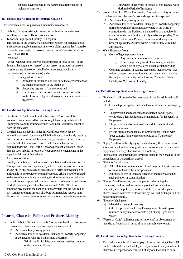expected having regard to the nature and circumstances of such act or omission.

#### **(D) Exclusions Applicable to Insuring Clause 8**

This Certificate does not provide an indemnity in respect of

- 1) Liability for Injury arising in connection with work on, visits to or travelling to or from offshore installations.
- 2) Terrorism Employers' Liability Exception

The liability of the Underwriters under this Section for damages costs and expenses payable in respect of any one claim against the Assured or series of claims against the Assured arising out of Terrorism shall not exceed £5,000,000

#### Definition

An act - whether involving violence or the use of force or not - or the threat or the preparation thereof, of any person or group(s) of persons whether acting alone or on behalf of or in connection with any organisation(s) or government(s) - which

- a) is designed to, or does
	- i) intimidate or influence a de jure or de facto government or the public or a section of the public, or
	- ii) disrupt any segment of the economy and
	- iii) from its nature or context is done in connection with political, social, religious, ideological or similar causes or objectives.

#### **(E) Conditions Applicable to Insuring Clause 8**

- 1) Certificate of Employers' Liability Insurance If You cancel the insurance cover provided by this Insuring Clause, any certificate of Employers' Liability insurance issued hereunder is similarly cancelled from the same date.
- 2) We shall have no liability under this Certificate to provide any indemnity or benefit for any legal liability directly or indirectly resulting from or in consequence of the ownership, possession, hiring, or use by or on behalf of You of any motor vehicle for which insurance is required under the Road Traffic Acts or equivalent legislation , other than for such liability in respect of your employee when acting in the capacity of driver of that vehicle.
- 3) Asbestos Conditions

Employers Liability - The Underwriter's liability under this section for damages and costs and expenses payable in respect of any one claim arising out of any one event or all events of a series consequent on or attributable to one source or original cause and arising out of or related to the manufacture mining processing distribution testing remediation removal storage disposal sale use or exposure to asbestos or materials or products containing asbestos shall not exceed £5,000,000. It is a condition precedent to the liability of underwriters that the Assured do not manufacture mine process distribute test remediate remove store dispose sell or use asbestos or materials or products containing asbestos.

#### **Insuring Clause 9 – Public and Products Liability**

- 1) Public Liability. We will indemnify You against liability at law to pay damages and claimant's costs and expenses in respect of
	- a) Accidental Injury to any person
	- b) Accidental loss of or accidental Damage to Property happening in connection with the Business and occurring
		- i) Within the British Isles or any other member countries of the European Union
- ii) Elsewhere in the world in respect of non-manual work during the Period of Insurance
- 2) Products Liability. We will indemnify You against liability at law to
	- pay damages and claimants' costs and expenses in respect of a) Accidental Injury to any person
	- b) Accidental loss of or accidental Damage to Property happening during the Period of Insurance, anywhere in the world in connection with the Business and caused by or through or in connection with any Product initially sold or supplied by You from the British Isles; Provided an action for damages is brought against the Assured within a court of law within the Jurisdiction.
- 3) We will also pay Your
	- a) Costs of legal representation at
		- i) Any coroner's inquest or fatal inquiry
		- ii) Proceedings in any court of summary jurisdiction arising out of any alleged breach of statutory duty
	- b) Costs and expenses of defence reasonably incurred, with Our written consent, in connection with any matter which may be the subject of indemnity under Insuring Clause 9(1 Public Liability) or 9(2 Product Liability).

#### **(A) Definitions Applicable to Insuring Clause 9**

- 1) "Business" shall mean the Business stated in the Schedule and shall include
	- a) Ownership, occupation and maintenance of land or buildings by You
	- b) The provision and management of canteen, social, sports, welfare and other facilities and organisations for the benefit of Employees
	- c) The provision and operation of first aid, fire, medical and security services
	- d) Private duties undertaken by an Employee for You or, with Your consent, for any director or partner of Yours or any Employee.
- 2) "Injury" shall mean bodily injury, death, disease, illness or nervous shock and shall include wrongful arrest, imprisonment or eviction of any person or wrongful accusation of shoplifting.
- 3) "Jurisdiction" shall mean those territories stated in the Schedule or any dependency or trust territory thereof.
- 4) "Pollution" shall mean
	- a) All pollution or contamination of buildings or other structures or of water or land or the atmosphere and
	- b) All Injury or loss or Damage directly or indirectly caused by such pollution or contamination.
- 5) "Product" shall mean any goods or products (including their containers, labelling and instructions provided in connection therewith) sold, supplied, processed, installed, serviced, repaired, altered, treated, renovated or let on hire by You and no longer in Your possession or control.
- 6) "Property" shall mean
	- a) Material and tangible Property
	- b) Other Property where loss or Damage arises from trespass, nuisance or any interference with right of way, light, air or water.
- 7) "Vessel or Craft" shall mean any vessel or craft or object made or intended to float on or in or travel on or through water or air.

#### **(B) Limit and Excess Applicable to Insuring Clause 9**

1) The total amount for all damages payable, under Insuring Clause 9(1 Public Liability) (Public Liability), to any claimant or any number of claimants in respect of or arising out of any one Occurrence or in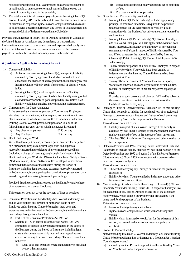respect of or arising out of all Occurrences of a series consequent on or attributable to one source or original cause shall not exceed the Limit of Indemnity stated in the Schedule;

2) The total amount for all damages payable, under Insuring Clause 9(2 Product Liability) (Products Liability), to any claimant or any number of claimants in respect of Injury, loss or Damage sustained as a result of all accidents occurring during any one Period of Insurance shall not exceed the Limit of Indemnity stated in the Schedule;

Provided that, in respect of Injury, loss or Damage occurring in Canada or the United States of America or any dependency or trust territory, Underwriters agreement to pay certain costs and expenses shall apply only to the extent that such costs and expenses when added to the damages payable fall within the Limit of Indemnity stated in the Schedule.

#### **(C) Addenda Applicable to Insuring Clause 9**

- 1) Contractual Liability
	- a) As far as concerns Insuring Clause 9(a), in respect of liability assumed by You by agreement and which would not have attached in the absence of such agreement, the indemnity by this Insuring Clause will only apply if the control of claims is vested in Us.
	- b) Insuring Clause 9(b) shall not apply in respect of liability assumed by You by agreement, other than liability arising out of a condition or warranty of goods implied by law, unless such liability would have attached notwithstanding such agreement.
- 2) Compensation for Court Attendance
	- In the event of any director or partner of Yours or any Employee attending court as a witness, at Our request, in connection with any claim in respect of which You are entitled to indemnity under this Insuring Clause, We will provide compensation to You at the following rates for each day on which attendance is required
		- a) Any director or partner £250 per day
		- b) Any Employee  $\text{£}150 \text{ per day}$
- 3) Health and Safety at Work

We will indemnify You and, at Your request, any director or partner of Yours or any Employee against legal costs and expenses reasonably incurred in the defence of any criminal proceedings (including a charge of manslaughter) brought for a breach of the Health and Safety at Work Act 1974 or the Health and Safety at Work (Northern Ireland) Order 1978 committed or alleged to have been committed in the course of the Business during the Period of Insurance, including legal costs and expenses reasonably incurred, with Our consent, in an appeal against conviction or prosecution costs awarded against You arising from such proceedings;

Provided that the proceedings relate to the health, safety and welfare of any person other than an Employee.

This extension does not cover the payment of fines or penalties.

- 4) Consumer Protection and Food Safety Acts. We will indemnify You and, at your request, any director or partner of Yours or any Employee under Insuring Clause 9(b) against legal costs and expenses reasonably incurred, with Our consent, in the defence of any proceedings brought for a breach of
	- a) Part II of the Consumer Protection Act 1987 or
	- b) Section(s) 7, 8, 14 and/or 15 of the Food Safety Act 1990 committed or alleged to have been committed in the course of the Business during the Period of Insurance, including legal costs and expenses reasonably incurred in an appeal against conviction arising from such proceedings. This extension does not cover
		- i) Legal costs and expenses where an indemnity is provided by any other insurance
- ii) Proceedings arising out of any deliberate act or omission by You
- iii) The payment of fines or penalties.
- 5) Other Persons. The indemnity provided by
	- a) Insuring Clause 9(1 Public Liability) will also apply to any principal to whom an indemnity is required to be provided under a contract for the performance of work by You in connection with the Business but only to the extent required by such contract
	- b) Insuring Clauses 9(1 Public Liability), 9(2 Product Liability) and 9(3 We will also pay) will also apply in the event of Your death, incapacity, insolvency or bankruptcy, to any personal representative of Yours in respect of liability incurred by You and if You so request the indemnity provided by Insuring Clauses 9(1 Public Liability), 9(2 Product Liability) and 9(3) will also apply
	- c) To any director or partner of Yours or any Employee in respect of liability for which You would have been entitled to indemnity under this Insuring Clause if the claim had been made against You
	- d) To any officer or member of Your canteen, social, sports, welfare and other facilities and organisations or first aid, fire, medical or security services in his/her respective capacity as such;

Provided that such persons shall observe, fulfil and be subject to the terms, conditions, limitations and exclusions of this Certificate insofar as they apply.

- 6) Damage to Hired or Rented Premises. Exclusion 2(b) of this Insuring Clause shall not apply to liability for accidental loss of or accidental Damage to premises (and/or fixtures and fittings of such premises) hired or rented by You for the purposes of the Business. This extension does not cover
	- a) Liability in respect of such loss or Damage if the liability is assumed by You under a tenancy or other agreement and would not have attached to You in the absence of such agreement
	- b) The first £100 of such loss or Damage caused otherwise than by fire or explosion.
- 7) Defective Premises Act 1972. Insuring Clause 9(2 Product Liability) is extended to include liability incurred by You under Section 3 of the Defective Premises Act 1972 or Section 5 of the Defective Premises (Northern Ireland) Order 1975 in connection with premises which have been disposed of by You. This extension does not cover
	- a) The cost of rectifying any Damage or defect in the premises disposed of
	- b) liability for which You are entitled to indemnity under any other insurance Policy or certificate.
- 8) Motor Contingent Liability. Notwithstanding Exclusion 4(a), We will indemnify You under Insuring Clause 9(a) in respect of liability at law for accidental Injury, loss or Damage arising out of the use of any motor vehicle, which is not Your Property nor provided by You, being used for the purposes of the Business.
	- This extension does not cover
	- a) loss of or Damage to any such vehicle
	- b) Injury, loss or Damage caused while you are driving such vehicle
	- c) liability which is insured or would, but for the existence of this section, be insured under any other insurance policy or certificate.
- 9) Product to Product Liability

Notwithstanding Exclusion 7, We will indemnify You under Insuring Clause 9(b) for accidental loss or Damage to a Product after it has left Your charge or control

a) caused by another Product supplied, installed or fitted by You or on Your behalf under a separate contract or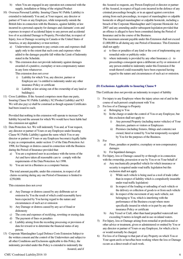- b) when You are engaged in any operation not connected with the supply, installation or fitting of the original Product
- 10) Overseas Personal Liability. Insuring Clause 9(1 Public Liability) is extended to indemnify You and, at Your request, any director or partner of Yours or any Employee, while temporarily outside the British Isles in connection with the Business, against liability at law incurred in a personal capacity for damages and claimants' costs and expenses in respect of accidental Injury to any person and accidental loss of or accidental Damage to Property; Provided that, in respect of Injury, loss or Damage occurring in Canada or the United States of America, or any dependency or trust territory
	- a) Underwriters agreement to pay certain costs and expenses shall apply only to the extent that such costs and expenses when added to the damages payable fall within the Limit of Indemnity stated in the Schedule.
	- b) This extension does not provide indemnity against damages awarded of a punitive, exemplary or non-compensatory nature in any form whatsoever.

This extension does not cover

- i) Liability for which You, any director, partner or Employee are / is entitled to indemnity under any other insurance Policy or certificate
- ii) Liability at law arising out of the ownership of any land or building(s).
- 11) Cross Liabilities. If the Assured comprises more than one party, Insuring Clause 9(1 Public Liability), 9(2 Product Liability) and 9(3 We will also pay) a) shall be construed as though separate Certificates had been issued to each;

Provided that nothing in this extension will operate to increase Our liability beyond the amount for which We would have been liable had this extension not applied

- 12) Data Protection Act. We will indemnify You and, at Your request, any director or partner of Yours or any Employee under Insuring Clause 9(1 Public Liability) against the sums which You or any director or partner of Yours or any Employee become(s) legally liable to pay as compensation, under section 13 of the Data Protection Act 1998, for Damage or distress caused in connection with the Business during the Period of Insurance provided that:
	- a) You are a registered user in accordance with the terms of the Act and have taken all reasonable care to comply with the requirements of the Data Protection Act 1998.
	- b) You are not in a Business as a computer bureau.

The total amount payable, under this extension, in respect of all claims occurring during any one Period of Insurance is limited to £250,000.

This extension does not cover

- a) Any Damage or distress caused by any deliberate act or omission by You the result of which could reasonably have been expected by You having regard to the nature and circumstances of such act or omission
- b) Any Damage or distress caused by any act of fraud or dishonesty
- c) The costs and expenses of rectifying, rewriting or erasing data
- d) The payment of fines or penalties
- e) Liability arising from the recording processing or provision of data for reward or to determine the financial status of any person.
- 13) Corporate Manslaughter Legal Defence Costs Extension Subject to the written consent and the control of the Underwriters and subject to all other Conditions and Exclusions applicable to this Policy, the indemnity provided under this Policy is extended to indemnify the Assured, and if

the Assured so requests, any Person Employed or director or partner of the Assured, in respect of legal costs incurred in the defence of any criminal proceedings brought, or in an appeal against conviction arising from such proceedings, in respect of manslaughter or culpable homicide or alleged manslaughter or culpable homicide, including a breach of the Corporate Manslaughter and Corporate Homicide Act 2007 and any amending and/or subsequent legislation provided that an offence is alleged to have been committed during the Period of Insurance and in the course of the Business.

The maximum amount payable under this Extension shall not exceed £1,000,000 in all during any one Period of Insurance. This Extension shall not apply:

- a) to fines or penalties of any kind or the cost of implementing any remedial order or publicity order.
- b) where indemnity is provided by any other Insurance. c) to proceedings consequent upon a deliberate act by or omission of any person entitled to indemnity under this Extension if the result thereof could reasonably have been expected having regard to the nature and circumstances of such act or omission.

### **(D) Exclusions Applicable to Insuring Clause 9**

This Certificate does not provide an indemnity in respect of liability

- 1) For injury to any Employee where the injury arises out of and in the course of such person's employment with You
- 2) For loss of or Damage to Property
	- a) Belonging to You
	- b) In the charge or under the control of You or any Employee, but this exclusion shall not apply to
		- i) Any personal Property (including motor vehicles) of Your directors, partners or visitors or Employees
		- ii) Premises (including fixtures, fittings and contents) not owned, hired or rented by You but temporarily occupied by You for the purposes of the Business.
- 3) For
	- a) Fines, penalties or punitive, exemplary or non-compensatory damages
	- b) For liquidated damages.
- 4) For Injury, loss or Damage caused by or through or in connection with the ownership, possession or use by You or on Your behalf of
	- a) Any mechanically propelled vehicle for which insurance or security is required under road traffic legislation but this exclusion shall not apply
		- i) While such vehicle is being used as a tool of trade (other than in respect of liability which is compulsorily insurable under road traffic legislation)
		- ii) In respect of the loading or unloading of such vehicle or the delivery or collection of goods to or from such vehicle
		- iii) In respect of the movement of any such vehicle, not belonging to You, which is interfering with the performance of the Business except where more specifically insured in whole or in part by any other insurance Policy or certificate
	- b) Any Vessel or Craft, other than hand propelled watercraft not exceeding 8 metres in length and in use on inland waters.
- 5) For Injury, loss or Damage arising from remedial or professional or other advice or treatment, given or administered or omitted by You or any director or partner of Yours or any Employee, for which a fee is or would normally be charged.
- 6) For loss of or Damage to that part of any Property on which You or Your agent are/is or have/has been working where the loss or Damage occurs as a direct result of such work.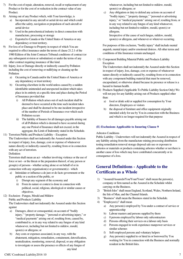- 7) For the cost of repair, alteration, removal, recall or replacement of any Product or for the cost of or reduction in the contract value of any Product.
- 8) Arising out of any Product which, with Your knowledge, is
	- a) Incorporated in any aircraft or aerial device and which could affect the safety, navigation or propulsion of such aircraft or aerial device
	- b) Used in the petrochemical industry in direct connection with manufacture, processing or storage
	- c) Exported to Canada or the United States of America or any dependency or trust territory.
- 9) For loss of or Damage to Property in respect of which You are required to effect insurance under the terms of clause 21.2.1 of the 1980 Edition of the Joint Contracts Tribunal conditions of contract (or any subsequent revision or substitution) or under the terms of any other contract requiring insurance of like kind.
- 10) Injury, loss or Damage directly or indirectly caused by Pollution including the cost of removing or nullifying or cleaning up the Pollution
	- a) Occurring in Canada and/or the United States of America or any dependency or trust territory
	- b) Occurring elsewhere in the world unless caused by a sudden identifiable unintended and unexpected incident which takes place in its entirety at a specific time and place during the Period of Insurance provided that
		- i) All Pollution which arises out of such incident shall be deemed to have occurred at the time such incident takes place and shall be deemed to be one incident irrespective of the number of Periods of Insurance over which such Pollution occurs
		- ii) The liability of Insures for all damages payable arising out of all Pollution which is deemed to have occurred during any one Period of Insurance shall not exceed, in the aggregate, the Limit of Indemnity stated in the Schedule.
- 11) Terrorism Public and Products Liability Exception

The Underwriters shall not indemnify the Assured under this Section in respect of injury, loss, damage, cost or expense of whatsoever nature directly or indirectly caused by, resulting from or in connection with any act of terrorism.

#### Definition

Terrorism shall mean an act - whether involving violence or the use of force or not - or the threat or the preparation thereof, of any person or group(s) of persons - whether acting alone or on behalf of or in connection with any organisation(s) or government(s) - which

- a) Intimidate or influence a de jure or de facto government or the public or a section of the public, or
	- i) Disrupt any segment of the economy and
	- ii) From its nature or context is done in connection with political, social, religious, ideological or similar causes or objectives.
- 12) Exclusion Fungus, Mould and Mildew Public and Products Liability

The Underwriters shall not indemnify the Assured under this Section against

- a) Damages, direct or consequential, on account of "bodily injury," "property damage," "personal or advertising injury," or "medical payments" arising out of, resulting from, caused by, contributed to, or in any way related to any fungus of any kind whatsoever, including but not limited to mildew, mould, spore(s) or allergens; or
- b) Any costs or expenses associated, in any way, with the abatement, mitigation, remediation, containment, detoxification, neutralization, monitoring, removal, disposal, or any obligation to investigate or assess the presence or effects of any fungus of any kind

whatsoever, including but not limited to mildew, mould, spore(s) or allergens; or

c) Any obligation or duty to defend any actions on account of "bodily injury," "property damage," "personal or advertising injury," or "medical payments" arising out of, resulting from, or in any way related to any fungus of any kind whatsoever, including but not limited to mildew, mould, spore(s) or allergens.

Irrespective of the cause of such fungus, mildew, mould, spore(s) or allergens, and whenever or wherever occurring.

For purposes of this exclusion, "bodily injury" shall include mental anguish, mental injury and/or emotional distress. All other terms and conditions of this Insurance remain unchanged.

13) Component Building Material Public and Products Liability **Exception** 

The Underwriters shall not indemnify the Assured under this Section in respect of injury, loss, damage, cost or expense of whatsoever nature directly or indirectly caused by, resulting from or in connection with any component building material that must be removed, encapsulated, or otherwise abated because its presence or release is a hazard to human health.

- 14) Products Supplied (Applicable To Public Liability Section Only) We will not pay for any liability arising out of Products supplied other than:
	- a) food or drink sold or supplied for consumption by Your directors, Employees or visitors
	- b) the disposal of furniture and office equipment originally intended solely for use by You in connection with the Business and which is no longer required for that purpose

## **(E) Exclusions Applicable to Insuring Clause 9**

### Asbestos Conditions

Public Liability - Underwriters will not indemnify the Assured in respect of any liability arising from the manufacture mining processing distribution testing remediation removal storage disposal sale use or exposure to asbestos or materials or products containing asbestos whether or not there is another cause of loss which may have contributed concurrently or in consequence of a loss.

## **General Definitions - Applicable to the Certificate as a Whole**

- 1) "Assured/Assureds/You/Your/Yours" shall mean the person(s), company or firm named as the Assured in the Schedule whilst carrying on the Business.
- 2) "British Isles" shall mean England, Scotland, Wales, Northern Ireland, the Isle of Man, and the Channel Islands.
- 3) "Business" shall mean the Business stated in the Schedule.
- 4) "Employee(s)" shall mean
	- a) Any person(s) employed by You under a contract of service or apprenticeship
	- b) Labour masters and persons supplied by them
	- c) 0 persons employed by labour only subcontractors
	- d) Persons offering their services on a labour only basis
	- e) Persons engaged in work experience manpower services or similar schemes
	- f) Self-employed persons and voluntary helpers
	- g) Any person(s) supplied to or hired in or borrowed by You working for You in connection with the Business and normally resident in the British Isles.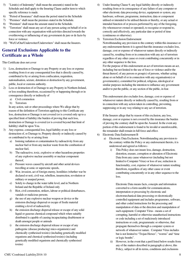- 5) "Limit(s) of Indemnity" shall mean the amount(s) stated in the Schedule and shall apply to the Insuring Clause and/or item to which specific reference is made.
- 6) "Period of Insurance" shall mean the period stated in the Schedule
- 7) "Premises" shall mean the premises stated in the Schedule.
- 8) "Premium" shall mean the amount stated in the Schedule.
- 9) "Terrorism" shall mean any act of any person acting on behalf of or in connection with any organisation with activities directed towards the overthrowing or influencing of any government de jure or de facto by force or violence.
- 10) "We/Us/Our/Underwriter/Underwriters" shall mean the Insurers.

## **General Exclusions Applicable to the Certificate as a Whole**

#### This Certificate does not cover

- 1) Loss, destruction or Damage to any Property or any loss or expense resulting from it or any consequential loss that is directly caused by, contributed to by or arising from confiscation, requisition, nationalisation, seizure, detention or destruction by any government, public, local or customs authority.
- 2) Loss or destruction of or Damage to any Property in Northern Ireland, or loss resulting therefrom, occasioned by or happening through or in consequence directly or indirectly of
	- a) Civil commotion
	- b) Terrorism

In any action, suit or other proceedings where We allege that by reason of the definition of Terrorism applying to this Certificate any loss, destruction or Damage is not covered (or is covered only up to a specified limit of liability) the burden of proving that such loss, destruction or Damage is covered (or is covered beyond that limit of liability) shall be upon You.

- 3) Any expense, consequential loss, legal liability or any loss or destruction of, or Damage to, Property directly or indirectly caused by or contributed to by or arising from
	- a) Ionising radiation or contamination by radioactivity from any nuclear fuel or from any nuclear waste from the combustion of nuclear fuel,
	- b) The radioactive, toxic, explosive or other hazardous properties of any explosive nuclear assembly or nuclear component thereof,
	- c) Pressure waves caused by aircraft and other aerial devices travelling at sonic or supersonic speeds,
	- d) War, invasion, act of foreign enemy, hostilities (whether war be declared or not), civil war, rebellion, insurrection, revolution or military or usurped power,
	- e) Solely to change in the water table level, and in Northern Ireland and the Republic of Ireland only
	- f) Riot, civil commotion, strikers, labour or political disturbances, vandals or malicious persons.
	- g) the use of any explosive nuclear weapon or device or the emission discharge dispersal or escape of fissile material emitting a level of radioactivity
	- h) the emission discharge dispersal release or escape of any solid liquid or gaseous chemical compound which when suitably distributed is capable of causing incapacitating disablement or death amongst people or animals
	- i) the emission discharge dispersal release or escape of any pathogenic (disease producing) mico-organism(s) and chemically synthesised toxin(s) (including genetically modified organisms and chemical synthesised toxin(s) (including genetically modified organisms and chemically synthesised toxins)
- 4) Under Insuring Clause 9, any legal liability directly or indirectly resulting from or in consequence of any failure of any computer or other electronic data processing device, equipment or system, any hardware, software, programme, instruction, data or component utilised or intended to be utilised therein or thereby, or any actual or intended function of or process performed by any of the foregoing, (by whomsoever owned or operated), to recognise or respond to, correctly and effectively, any particular date or period of time (continuous or otherwise).
- 5) Terrorism Exclusion Endorsement

Notwithstanding any provision to the contrary within this insurance or any endorsement thereto it is agreed that this insurance excludes loss, damage, cost or expense of whatsoever nature directly or indirectly caused by, resulting from or in connection with any act of terrorism regardless of any other cause or event contributing concurrently or in any other sequence to the loss.

For the purpose of this endorsement an act of terrorism means an act, including but not limited to the use of force or violence and/or the threat thereof, of any person or group(s) of persons, whether acting alone or on behalf of or in connection with any organisation(s) or government(s), committed for political, religious, ideological or similar purposes including the intention to influence any government and/or to put the public, or any section of the public, in fear.

This endorsement also excludes loss, damage, cost or expense of whatsoever nature directly or indirectly caused by, resulting from or in connection with any action taken in controlling, preventing, suppressing or in any way relating to any act of terrorism.

If the Insurers allege that by reason of this exclusion, any loss, damage, cost or expense is not covered by this insurance the burden of proving the contrary shall be upon the Assured. In the event any portion of this endorsement is found to be invalid or unenforceable, the remainder shall remain in full force and effect.

### 6) Electronic Data Endorsement B

- a) Electronic Data Exclusion. Notwithstanding any provision to the contrary within the Policy or any endorsement thereto, it is understood and agreed as follows:
	- i) This Policy does not insure loss, damage, destruction, distortion, erasure, corruption or alteration of Electronic Data from any cause whatsoever (including but not limited to Computer Virus) or loss of use, reduction in functionality, cost, expense of whatsoever nature resulting therefrom, regardless of any other cause or event contributing concurrently or in any other sequence to the loss.

Electronic Data means facts, concepts and information converted to a form useable for communications, interpretation or processing by electronic and electromechanical data processing or electronically controlled equipment and includes programmes, software, and other coded instructions for the processing and manipulation of data or the direction and manipulation of such equipment. Computer Virus - means a set of corrupting, harmful or otherwise unauthorised instructions or code including a set of maliciously introduced instructions or code, programmatic or otherwise, that propagate themselves through a computer system or network of whatsoever nature. Computer Virus includes but is not limited to "Trojan Horses", "worms" and "time or logic bombs".

ii) However, in the event that a peril listed below results from any of the matters described in paragraph a) above, this Policy, subject to all its terms, conditions and exclusions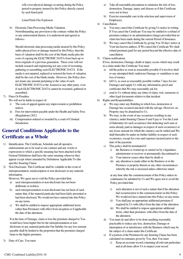will cover physical damage occurring during the Policy period to property insured by this Policy directly caused by such listed peril.

Listed Perils Fire Explosion

b) Electronic Data Processing Media Valuation. Notwithstanding any provision to the contrary within the Policy or any endorsement thereto, it is understood and agreed as follows:-

Should electronic data processing media insured by this Policy suffer physical loss or damage insured by this Policy, then the basis of valuation shall be the cost of the blank media plus the costs of copying the ELECTRONIC DATA from back-up or from originals of a previous generation. These costs will not include research and engineering nor any costs of recreating, gathering or assembling such ELECTRONIC DATA. If the media is not repaired, replaced or restored the basis of valuation shall be the cost of the blank media. However, this Policy does not insure any amount pertaining to the value of such ELECTRONIC DATA to the Assured or any other party, even if such ELECTRONIC DATA cannot be recreated, gathered or assembled.

7) Fines Or Penalties

We will not be liable in respect of:

- i) The costs of appeal against any improvement or prohibition notices
- ii) Fees for intervention payable under the Health and Safety Fees (Regulations) 2012
- iii) Compensation ordered or awarded by a court of Criminal **Jurisdiction**

## **General Conditions Applicable to the Certificate as a Whole**

- 1) Identification. The Certificate, Schedule and all operative endorsements are to be read as one contract and any words or expressions to which a specific meaning has been attached in the General Definitions shall have the same meaning wherever they appear except where amended by Definitions Applicable To (the specific) Insuring Clause.
- 2) Non Disclosure. This Certificate shall be voidable in the event of misrepresentation, misdescription or non disclosure in any material information.

However, We agree not to void the Policy provided that:

- a) such misrepresentation or non-disclosure has not been deliberate or reckless
- b) such misrepresentation or non-disclosure has not been of such nature that, if the material particular had been fairly presented or had been disclosed, We would not have entered into this Policy on any terms.
- c) We shall be entitled to impose appropriate additional terms (other than Premium) with effect from inception or if applicable the date of the alteration.

If at the time of Damage, claim or loss the premium charged to You would have been higher but for the misrepresentation or nondisclosure in any material particular Our liability for any loss amount payable shall be limited to the proportion that the premium charged bears to the higher premium.

3) Duty of Care. You must

- a) Take all reasonable precautions to minimise the risk of loss, destruction, Damage, injury and disease as if this Certificate were not in force
- b) Exercise reasonable care in the selection and supervision of Employees.
- 4) Cancellation
	- a) You may cancel this Certificate by giving Us notice in writing. If You cancel the Certificate You may be entitled to a refund of premium (subject to an administration charge) provided that no claim has been made during the current Period of Insurance.
	- b) We may cancel this Certificate by giving You 30 days' notice at Your last known address. If We cancel the Certificate We shall refund premium paid for any period beyond the effective date of cancellation.
- 5) Claims notifications

If loss, destruction, Damage, death or injury occurs which may result in a claim under this Certificate You must

- a) tell the police as soon as reasonably possible if it involves theft or any attempted theft, malicious Damage or vandalism or any loss of money
- b) tell Us, as soon as reasonably possible (within 7 days for riot Damage) and supply Us with any information, proof and certificates that We may reasonably ask for.
- c) send to Us without delay any letter of claim, writ, summons or other legal documents relative to that incident.
- 6) Rights and Responsibilities
	- a) We may enter any Building in which loss, destruction or Damage has occurred and deal with the salvage. However, no Property may be abandoned to Us.
	- b) We may, in the event of any occurrence resulting in any claim(s), under Insuring Clauses 8 and 9 pay to You the Limit of Indemnity for such occurrence (but deducting such sum or sums already paid as damages in respect of such occurrence) or any lesser amount for which the claim(s) can be settled and We shall thereafter be under no further liability in respect of such occurrence, except for costs and expenses incurred prior to the date of the payment.
	- c) This policy shall be terminated if:
		- i) the Business is wound up or carried on by a liquidator, administrator or receiver or permanently discontinued or
		- ii) Your interest ceases other than by death or
		- iii) any alteration is made either in the Business or in the Premises or property therein or any other circumstances whereby the risk is increased unless otherwise stated

at any time after the commencement of this Policy unless its continuance be admitted by Us and We agree not to avoid the Policy provided that:

- i) such alteration is not of such a nature that if the alteration had occurred prior to the commencement on this Policy We would not have entered into this Policy on any terms.
- ii) You shall pay an appropriate additional premium if required by Us with effect from the date of the alteration.
- iii) We shall be entitled to impose appropriate additional terms, other than premium, with effect from the date of the alteration.
- d) You must do and allow to be done anything reasonably practicable to reduce any loss, destruction, Damage or interruption of or interference with the Business which may be the subject of a claim under this Certificate.
- e) If a portion of the Premium for any Insuring Clause has been calculated on estimates given by You, then You must
	- i) Keep an accurate record containing all relevant particulars and at all times allow Us to inspect your record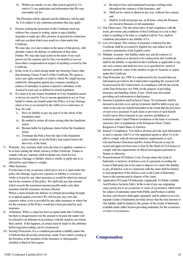ii) Within one month, (or any other period agreed by Us) send to Us any particulars and information that We may reasonably ask for.

The Premium will be adjusted and the difference will be paid by You subject to any minimum premium that may apply.

f) Persons seeking the protection of this Certificate must not, without Our consent in writing, admit or reject liability, negotiate or make any offer, promise or payment in connection with any accident which may result in a claim under this Certificate.

We may take over and conduct in the name of that person, with absolute control, the defence or settlement of that claim. Further, We may take legal action in the name of any such person (at Our expense and for Our own benefit) to recover from others compensation in respect of anything covered by this Certificate.

- g) In the event of a claim arising under any Insuring Clause other than Insuring Clauses 8 and 9 of this Certificate, We agree to waive any rights remedies or relief to which We might become entitled by subrogation against any company standing in relation of subsidiary to parent or parent to subsidiary to the Assured in each case as defined in current legislation.
- h) If a claim is in any respect fraudulent or if any fraudulent means or devices be used by You or anyone appointed to act on Your behalf to obtain any benefit under this Policy or if any Damage, claim or loss is occasioned by the wilful act or connivance of You, We will:
	- i) Have no liability to pay any part of or the whole of the fraudulent claim
	- ii) Be entitled to refuse all claims arising after the fraudulent action
	- iii) Remain liable for legitimate claims before the fraudulent action
	- iv) Terminate the Policy from the date of the fraudulent action whether or not the Policy had expired before the discovery of the fraud.
- 7) Warranty. Any warranty shall, from the time it is applied, continue to be in force during the whole currency of this Certificate. Failure to comply with any warranty shall invalidate any claim for loss, destruction, Damage or liability which is wholly or partly due to or affected by such failure to comply.
- 8) Other Insurance

If at the time of any occurrence which gives rise to a claim under this policy the Damage, legal costs, expenses or liability is covered in whole or in part by any other insurance or would be otherwise insured but for the existence of this policy, We shall only pay that amount which exceeds the maximum amount payable under such other insurance had this insurance not been effected.

Where a claim includes the defence of criminal proceedings brought or in appeal against conviction We will not pay any costs and expenses where cover is provided by any other insurance or where but for the existence of this Policy would have been provided by such insurance.

- 9) Arbitration. Where a claim has been accepted under this Certificate but there is disagreement over the amount to be paid, the matter will be referred to an arbitrator in accordance with the statutory provisions then current. If this happens, an award must be made by the arbitrator before legal proceedings can be commenced.
- 10) Security Protections. It is a condition precedent to liability under this Certificate that all security protections, under Your control, existing at the Premises at the inception of this insurance or subsequently installed or fitted at Our request
- a) Be kept in force and maintained in proper working order throughout the currency of this insurance, and
- b) Shall not be varied or altered in any way, without Our consent, and
- c) Shall be in full and proper use, at all times, when the Premises are closed to Business or left unattended.
- 11) Due Observance. The due observance of and compliance with the terms, provisions and conditions of this Certificate in so far as they relate to anything to be done or complied with by You, shall be conditions precedent to any liability of Us.
- 12) Law of Contract. The contract of insurance evidenced by this Certificate shall be governed by English law and subject to the exclusive jurisdiction of the English courts.
- 13) Multiple Assureds. Our liability under any and all contracts of insurance evidenced or deemed to be evidenced by this Certificate shall be the liability so specified in this Certificate as applicable to any one such contract and shall not (save as so specified) be varied or deemed varied by virtue of the number or type of Assureds or claims under this Certificate.
- 14) Data Protection Act 1998. It is understood by the Assured that any information provided to the Underwriters regarding the Assured will be processed by the Underwriters, in compliance with the provisions of the Data Protection Act 1998, for the purpose of providing insurance and handling claims, if any, which may necessitate providing such information to third parties.
- 15) Sanction Limitation and Exclusion Clause. No (re)insurer shall be deemed to provide cover and no (re)insurer shall be liable to pay any claim or provide any benefit hereunder to the extent that the provision of such cover, payment of such claim or provision of such benefit would expose that (re)insurer to any sanction, prohibition or restriction under United Nations resolutions or the trade or economic sanctions, laws or regulations of the European Union, United Kingdom or United States of America.
- 16) Insured's Compliance. You shall at all times provide such information to and co-operate with Us or Our appointed agents to allow Us to be able to comply with all relevant statutory requirements or such relevant Practice Directions and Pre-Action Protocols as may be issued and approved from time to time by the Head of Civil Justice or comply with the requirements of official investigation pursuant to Statute or otherwise.
- 17) Proportionment Of Defence Costs. Except where the Limit of Indemnity is inclusive of defence costs if a payment exceeding the Limit of Indemnity has to be made to dispose of a claim Our liability to pay all defence costs in connection with the claim shall be limited to such proportion of the defence costs as the Limit of Indemnity bears to the amount paid to dispose of the claim.
- 18) Application Of Limits Of Indemnity (Applicable To Public Liability And Products Sections Only). In the event of any one originating cause giving rise to an occurrence or series of occurrences which form the subject of indemnity under both Public and Products Liability Section, each Section shall apply separately and be subject to its own separate Limits of Indemnity provided always that the total amount of Our liability shall be limited to the greater of the Limits of Indemnity available under either Section providing indemnity for the occurrence or series of occurrences.

## **Compensation**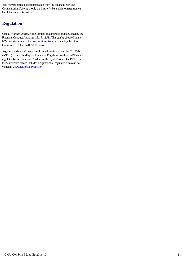You may be entitled to compensation from the Financial Services Compensation Scheme should the insurer(s) be unable to meet it's/their liabilities under this Policy.

## **Regulation**

Capital Markets Underwriting Limited is authorised and regulated by the Financial Conduct Authority (No. 511151). This can be checked on the FCA website at www.fca.gov.co.uk/register or by calling the FCA Consumer Helpline on 0800 111 6768.

Argenta Syndicate Management Limited (registered number 204974) (ASML) is authorised by the Prudential Regulation Authority (PRA) and regulated by the Financial Conduct Authority (FCA) and the PRA. The FCA's website, which includes a register of all regulated firms can be visited at www.fca.org.uk/register.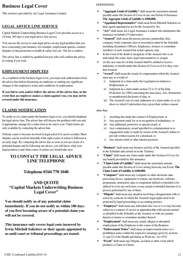## **Business Legal Cover**

This section is provided by Arc Legal Assistance Limited

## **LEGAL ADVICE LINE SERVICE**

Capital Markets Underwriting Business Legal Cover provides access to a 24 hour, 365 days a year legal advice line service.

You can use the service to seek legal advice on any legal problem that you have concerning your business, for example, employment queries, contract disputes or data protection or health & safety laws etc. The list is endless.

The advice line is staffed by qualified lawyers who will confirm the advice in writing if you wish.

## **EMPLOYMENT DISPUTES**

As a condition of the business legal cover, you must seek authorisation from the advice line before dismissing an employee or making any significant changes to the employee's terms and conditions of employment.

**If you fail to seek and/or follow the advice of the advice line, in the event that an employee makes a claim against you, you may not be covered under this insurance.** 

## **CLAIMS NOTIFICATION**

To notify us of a claim under the business legal cover, you should telephone the legal advice line. The advice line will discuss the problem with you and, if appropriate, arrange for a claim form to be sent to you. Claim forms are only available by contacting the advice line.

Nobody wants to become involved in legal action if it can be avoided. Most disputes can be resolved amicably if the right course of action is followed at an early stage. By contacting the advice line as soon as you are aware of a potential dispute and by following our advice, you will know what your legal position is and what course of action you should take next.

## **TO CONTACT THE LEGAL ADVICE LINE TELEPHONE**

## **Telephone 0344 770 1040**

## **AND QUOTE "Capital Markets Underwriting Business**  Legal Cover"

**You should notify us of any potential claim immediately. If you do not notify us within 180 days of you first becoming aware of a potential claim you will not be covered.** 

**This insurance only covers legal costs incurred by Irwin Mitchell Solicitors or their agents appointed by us until court or tribunal proceedings are issued.** 

#### **DEFINITIONS**

- **"Aggregate Limit of Liability"** shall mean the maximum amount payable under this Section of Cover in any one Period of Insurance. **The Aggregate Limit of Liability is £500,000.**
- **"Appointed Representative"** shall mean Irwin Mitchell Solicitors or their agents appointed to act for the Assured by Arc.
- **"Arc"** shall mean Arc Legal Assistance Limited who administers this insurance on behalf of Underwriters.
- **"Assured"** shall mean the person, persons, partnership, firm, company, body corporate, trust or association stated in the Schedule including all partners, Officers, Employees, trustees or committee members of such Assured but in that capacity only.
- In the event of the death or incapacity of the Assured who is an individual, the estate, heirs, legal representatives or assigns
- (as the case may be) of that Assured shall be entitled to receive indemnity or benefit under this Section of Cover as if it or they were that Assured.
- "Award" shall mean the award of compensation which the Assured must pay as a result of
	- i) Judgment in a claim under the Legislation in relation to Employment, or
	- ii) Judgment in a claim under section 22 or 23 of the Data Protection Act 1984 concerning the inaccuracy, loss, destruction or unauthorised disclosure of data, or
	- iii) The Assured's out-of-court settlement of a claim under (i) or (ii) above to which Underwriters have given their written consent

#### other than

- i) Anything due under the contract of Employment, or
- ii) Any payment made for or in recognition of redundancy, or
- iii) Any additional, protective or special award, or
- iv) Any compensatory award specified in a reinstatement or reengagement order or made by reason of the Assured's failure to provide written reasons for a dismissal, or
- v) Any interim relief or other interim payment.
- **"Business"** shall mean any business activity of the Assured specified in the Schedule and carried on in the Territory.
- **"Claim"** shall mean any claim made under this Section of Cover for any benefit provided by this insurance.
- **"Claim Limit of Liability"** shall mean the maximum amount payable under this Section of Cover arising from any one Event. **The Claim Limit of Liability is £100,000.**
- **"Computer"** shall mean any computer or other electronic data processing device, equipment or system, any hardware, software, programme, instruction, data or component utilised or intended to be utilised in or by any such item, or any actual or intended function of or process performed by any of them.
- **"Dispute"** shall mean any situation involving a disagreement with or action by someone in which the Assured's legal rights need to be protected by legal proceedings or accounting practice.
- **"Employee"** shall mean any individual who was or is or may become subject to a contract of service or apprenticeship with anyone named or identified in the Schedule as the Assured, or with any partner therein or trustee or committee member thereof.
- **"Employment"** shall mean any actual, alleged or attempted employment of the Employee in the course of the Business.
- **"Enforcement Notice"** shall mean an improvement notice or a prohibition notice within the respective meanings given by sections 21 and 22 of the Health and Safety at Work etc. Act 1974.
- **"Event"** shall mean any Dispute, accident or other event which produces a Claim or Claims.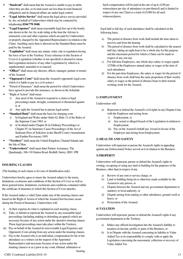- **"Insolvent"** shall mean that the Assured is unable to pay its debts when they are due, or its total assets are less than its total financial obligations and its financial affairs are under legal control.
- **"Legal Advice Service"** shall mean the legal advice service provided by Arc on behalf of Underwriters which may be contacted by telephoning **0344 770 1040.**
- **"Legal Expenses"** shall mean reasonable legal fees up to the hourly rate shown in the Arc fee scale ruling at the time the Adviser is instructed, costs and other expenses which are paid by Underwriters or properly charged by the Appointed Representative in relation to the Claim. Anything more than is allowed on the Standard Basis must be paid by the Assured.
- **"Legislation"** shall mean any statute, order, rule or regulation having the force of law in the Territory. Every reference in this Section of Cover to Legislation (whether or not specified) is deemed to mean that Legislation inclusive of any other Legislation by which it is supplemented, amended or re-enacted.
- **"Officer"** shall mean any director, officer, manager, partner or trustee of the Assured.
- **"Opponent's Costs"** shall mean the Assured's opponent's legal costs which it is liable to pay in a civil action.)
- "Period of Insurance" shall mean the period for which Underwriters have agreed to provide this insurance, as shown in the Schedule.
- "Right of Action" shall mean
	- i) Any need of the Assured to respond to a claim or legal proceedings made, brought, commenced or threatened against it, or
	- ii) Any right the Assured has to pursue legal action.
- **"Standard Basis"** shall mean the basis for charging costs
	- i) In England and Wales under Order 62, Rule 12 of the Rules of the Supreme Court 1965, or
	- ii) in Scotland under Chapter II (in Ordinary Proceedings) or Chapter IV (in Summary Cause Proceedings) of the Act of Sederunt (Fees of Solicitors in the Sheriff Court) (Amendment and Further Provisions) 1993
- **"Territory"** shall mean the United Kingdom, Channel Islands and the Isle of Man.
- **"Underwriter/s"** shall mean Inter Partner Assistance, The Quadrangle, 106-118 Station Road, Redhill, Surrey, RH1 1PR

## **INSURING CLAUSES**

(The heading of each clause is for ease of identification only)

Underwriters hereby agree to insure the Assured subject to the terms, limitations, exclusions and conditions of this Section of Cover as well as those general terms, limitations, exclusions and conditions contained within the certificate of insurance to which this Section of Cover attaches.

If the Assured makes a valid Claim under any of the insuring clauses and based on the Right of Action of which the Assured first becomes aware during the Period of Insurance, Underwriters will:

- i) At their expense do what is explained in each insuring clause,
- ii) Take, or defend or represent the Assured in, any reasonable legal proceedings (including making or defending an appeal) which are necessary because of any action under the operative insuring clauses. These legal proceedings must take place within the Territory,
- iii) Pay on behalf of the Assured its irrecoverable Legal Expenses and Opponent's Costs arising from any action under the insuring clauses,
- iv) Pay to the Assured who is an individual, compensation for his or her attendance as a witness (at the request of the Appointed Representative and necessary because of any action under the insuring clauses) or as a juror at any court, tribunal, arbitration or hearing.

Such compensation will be paid at the rate of up to £100 per witness/juror per day of attendance (or part thereof) and is limited in respect of any one Claim to a total of £5,000 for all such witnesses/jurors.

Each half or full day of such attendance shall be calculated on the following basis:

- a) The period of absence from work shall include the time taken to travel to and from the hearing
- b) The period of absence from work shall be calculated to the nearest half day, taking an eight hour to be a whole day for this purpose and the maximum period for which a Claim can be made in respect of any one day
- c) For full-time Employees, one whole days salary or wages equals 1/250th of the Employees annual salary or wages at the time of such attendance
- d) For the part-time Employees, the salary or wages for the period of absence from work shall bear the same proportion of their weekly salary or wages as the period of absence bears to their normal working week for the Assured.

### **1) EMPLOYMENT**

### Underwriters will

- a) Represent or defend the Assured's civil rights in any Dispute it has with the Employee and arising from:
	- i) Employment, or
	- ii) Any actual or alleged breach of the Legislation in relation to Employment;
	- iii) Pay on the Assured's behalf any Award in favour of the Employee and arising from Employment.

## **2) HEALTH AND SAFETY**

Underwriters will represent or pursue the Assured's rights in appealing against any Enforcement Notice served on it in relation to the Business.

## **3) PROPERTY**

Underwriters will represent, pursue or defend the Assured's rights in owning, occupying or using any land or building for the purposes of the Business, other than in respect of any

- a) Review of any rent or service charge, or
- b) Land or building being let or otherwise made available by the Assured to any person, or
- c) Dispute between the Assured and any government department or statutory or local authority, or
- d) Dispute arising from mining or other subsidence, ground swell or heave, or
- e) Prosecution of the Assured.

## **4) TAXATION**

Underwriters will represent, pursue or defend the Assured's rights if any government department in the Territory

- a) Makes any official investigation into the Assured's liability to taxation on income, profits or gains of the Business, or
- b) Is in Dispute with the Assured concerning its liability to Value Added Tax or its responsibility to comply with or apply the Legislation concerning the assessment, collection or recovery of Value Added Tax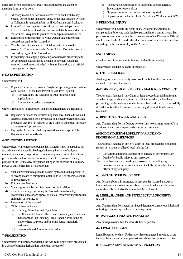other than in respect of the Assured's prosecution or to the extent of anything done or to be done:

- i) After any matter first becomes referred to or dealt with by any Special Office of the Inland Revenue, or the Investigation Division or Collection Investigation Unit of H.M. Customs and Excise, or
- ii) In an official investigation before the government department has first expressed its written dissatisfaction with the books and records the Assured is required to produce for in-depth examination, or
- iii) Before the commencement of Value Added Tax enforcement proceedings against the Assured, or
- iv) Only because of some earlier official investigation into the Assured's affairs or some earlier Value Added Tax enforcement proceedings against the Assured, or
- v) In preparing, challenging, appealing, or otherwise processing any tax computation, assessment, demand or payment which the Assured would necessarily deal with notwithstanding that official investigation or dispute.

#### **5) DATA PROTECTION**

#### Underwriters will

- Represent or pursue the Assured's rights in appealing (in accordance) with Section 13 of the Data Protection Act 1984) against
	- i) Any refusal by the Registrar of Data Protection of an application, or
	- ii) Any notice served on the Assured

which is mentioned in that section and arises in relation to the Business;

- b) Represent or defend the Assured's rights in any Dispute to which it is a party and arising from any actual or alleged breach of the Data Protection Act 1984 in relation to the Business, other than in respect of the Assured's prosecution,
- c) Pay on the Assured's behalf any Award made in respect of the Dispute referred to in (b) above.

#### **6) STATUTORY LICENCE**

Underwriters will represent or pursue the Assured's rights in appealing (in accordance with the applicable Legislation) against any refusal, nonrenewal, revocation, suspension, or compulsory amendment of any licence, permit or other authorisation necessarily issued to the Assured for any purpose of the Business by any person acting in the exercise of a statutory power or duty, other than in respect of any

- a) Such authorisation required to be held by the individual present in or on any means of transport in order to drive it or otherwise control its movement, or
- b) Enforcement Notice, or
- c) Matters governed by the Data Protection Act 1984, or
- d) inquiry or hearing concerning the Assured's actual or alleged professional duty, or any appeal or judicial review arising from such an inquiry or hearing, or
- e) Prosecution of the Assured.
- f) Of the following trades:
	- i) Gaming, Gambling and Nightclubs
	- ii) Gentlemen's Clubs and other venues providing entertainment in the form of Lap Dancing, Table Dancing, Pole Dancing and/or where striptease and/or erotic dance is regularly performed.
	- iii) Fairgrounds and Amusement Arcades

#### **7) PROSECUTION**

Underwriters will represent or defend the Assured's rights if it is prosecuted in a court of criminal jurisdiction, other than because of

- a) The ownership, possession or use of any vehicle, aircraft, hovercraft or watercraft, or
- b) Seepage, pollution or contamination of any kind
- c) A prosecution under the Health & Safety at Work etc. Act 1974.

#### **8) PERSONAL INJURY**

Underwriters will pursue the rights of an, Officer of the Assured to compensation following their death or personal injury caused by another person or organisation during the normal course of the Director or Officer's employment by the Assured, other than because of an accident or incident caused by, or the responsibility of the Assured.

#### **EXCLUSIONS**

(The heading of each clause is for ease of identification only)

Underwriters shall not be liable in respect of:

#### **(a) OTHER INSURANCE**

Anything for which indemnity is (or would be but for this insurance) available from any other source.

#### **(b) DISHONEST, FRAUDULENT OR MALICIOUS CONDUCT**

The Assured's defence in any Claim or legal proceedings arising from its actual or alleged dishonesty, fraud or malicious conduct, unless legal proceedings are brought against the Assured but are dismissed, successfully defended or find that the Assured did nothing dishonest, fraudulent or malicious.

#### **(c) DISPUTES BETWEEN ASSURED'S**

Any Claim arising from a Dispute between any two or more Assured's in relation to their common partnership, trust or committee.

#### **(d) BODILY INJURY/PROPERTY DAMAGE AND PROFESSIONAL SERVICES**

The Assured's defence in any civil claim or legal proceedings brought in respect of its actual or alleged legal liability for

- 1) Loss, destruction or loss of use of or damage to any property, or
- 2) Death of or bodily injury to any person, or
- 3) Breach of any duty owed by the Assured in providing any professional service or (other than as the Officer) as a director or officer of any company.

#### **(e) DISPUTE OVER INSURANCE**

Any Dispute about this insurance, or between the Assured and Arc or Underwriters or any other insurer about the way in which any insurance claim should be settled or the amount of the settlement.

#### **(f) LIBEL, SLANDER AND INTELLECTUAL PROPERTY RIGHTS**

Any Claim arising from actual or alleged defamation, malicious falsehood or infringement of any intellectual property rights.

#### **(g) DAMAGES, FINES AND PENALTIES**

Any damages (other than the Award), fine or penalty.

#### **(h) LEGAL EXPENSES**

Legal Expenses to which Underwriters have not agreed in writing or are incurred by a lawyer or other professional adviser not appointed by Arc.

#### **(I) CIRCUMSTANCES KNOWN AT INCEPTION**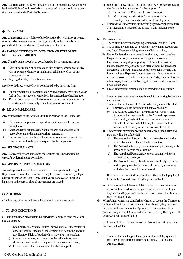Any Claim based on the Right of Action (or any circumstance which might lead to the Right of Action) of which the Assured was or should have been first aware outside the Period of Insurance.

#### **(j) "YEAR 2000"**

Any consequence of any failure of the Computer (by whomsoever owned or operated) to recognise or respond to, correctly and effectively, any particular date or period of time (continuous or otherwise).

#### **(k) RADIOACTIVE CONTAMINATION OR EXPLOSIVE NUCLEAR ASSEMBLIES**

Any Claim brought about by or contributed to by or consequent upon

- i) Loss or destruction of or damage to any property whatsoever or any loss or expense whatsoever resulting or arising therefrom or any consequential loss
- ii) Any legal liability of whatsoever nature

directly or indirectly caused by or contributed to by or arising from

- i) Ionising radiations or contamination by radioactivity from any nuclear fuel or from any nuclear waste from the combustion of nuclear fuel
- ii) The radioactive toxic explosive or other hazardous properties of any explosive nuclear assembly or nuclear component thereof

#### **(l) REASONABLE CARE**

Any consequence of the Assured's failure in relation to the Business to

- i) Enter into and reply to correspondence with reasonable care and promptness, or
- ii) Keep and retain all necessary books, records and accounts with reasonable care and in an appropriate manner, or
- iii) Prepare and issue or submit all notices, accounts and returns in the manner and within the period required by the Legislation.

#### **(m) WRONGFUL ACTS**

Any Claim arising from something the Assured did, knowing it to be wrongful or ignoring that possibility.

#### **(n) APPOINTMENT OF SOLICITOR**

Arc will appoint Irwin Mitchell Solicitors or their agents as the Legal Representative to act for the Assured. Legal Expenses incurred by a legal adviser other than the Legal Representative are not covered under this insurance until court or tribunal proceedings are issued.

#### **CONDITIONS**

(The heading of each condition is for ease of identification only)

#### **1. CLAIMS CONDITIONS**

a) It is a condition precedent to Underwriters' liability to meet the Claim that the Assured

- i) Shall notify any potential claims immediately to Underwriters or certainly within 180 days of the Assured first becoming aware of any Event or Right of Action which may give rise to a claim
- ii) Gives Underwriters, as soon as possible, all the information, documents and assistance they need to deal with that Claim,
- iii) Gives Underwriters its reasons if it wishes to appeal
- iv) seeks and follows the advice of the Legal Advice Service before the Assured takes any action for the purpose of:
	- a) Dismissing the Employee for any reason, or
	- b) Making any intended significant variation in the Employee's terms and conditions of Employment,
- v) Forwards to Underwriters, immediately upon receipt, every form IT1, IT2 and IT3 issued by the Employment Tribunal to the Assured.
- b) The Assured must
	- i) Try to limit the effect of anything which may lead to a Claim,
	- ii) Try to limit any loss and costs which it may wish to recover and any Legal Expenses arising from any Claim it makes,
	- iii) Notify Underwriters as soon as it receives any offer to settle a Dispute or action, or any offer of a payment into court. Underwriters may stop supporting the Claim if the Assured makes, accepts or rejects any such offer without Underwriters' agreement. If the Assured does accept any such offer and this limits the Legal Expenses Underwriters are able to recover or makes the Assured liable for Opponent's Costs, Underwriters may refuse to pay the irrecoverable Legal Expenses and Opponent's Costs which arise,
	- iv) Give Underwriters written details of everything they ask for.
- c)
- i) Underwriters must have accepted the Claim in writing before they can deal with it.
- ii) Underwriters will accept the Claim when they are satisfied that
	- a) They have all the information that they need, and
	- b) The Assured can identify any person with whom it is in Dispute, and it is reasonable for the Assured to pursue or defend its legal rights taking into account a reasonable estimate of the Assured's total Legal Expenses and the Assured will probably achieve a worthwhile result.
- iii) Underwriters may withdraw their acceptance of the Claim and stop providing benefit for it if
	- a) The Assured no longer has both a reasonable case and a reasonable chance of a worthwhile result, or
	- b) The Assured acts wrongly or unreasonably in dealing with anything to do with the Claim, or
	- c) The Appointed Representative stops dealing with them Claim for any reason, or
	- d) The Assured becomes Insolvent and is unlikely to receive and keep any worthwhile personal benefit by continuing with its action, even if it is successful.

If Underwriters do withdraw acceptance, they will still pay for all benefits the Assured was entitled to get up to that time.

- iv) If the Assured withdraws its Claim or stops or discontinues its action without Underwriters' agreement, it must pay all Legal Expenses and Opponent's Costs which arise before it withdraws, stops or discontinues
- d) When Underwriters are considering whether to accept the Claim or to withdraw from it, or the cost or value of any benefit, they will take into account the opinion of the Appointed Representative. If the Assured disagrees with Underwriters' decision, it may then agree with Underwriters to use arbitration.

In all cases Underwriters will advise the Assured in writing of their decision on the Claim.

- e)
- i) Underwriters shall appoint a lawyer or other suitably qualified person working for them to represent, pursue or defend the Assureds rights.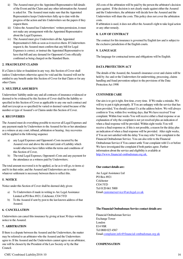- ii) The Assured must give the Appointed Representative full details of the Event and the Claim and any other information the Assured is asked for. The Assured must make sure that the Appointed Representative keeps Underwriters fully up to date with the progress of the action and lets Underwriters see the papers if they request them.
- iii) Unless the Assured has Underwriters' written permission, it must not make any arrangement with the Appointed Representative about the Legal Expenses.
- iv) The Assured must give Underwriters all the Appointed Representative's bills as soon as it receives them. If Underwriters request it, the Assured must confirm that any bill for Legal Expenses is correct, or instruct the Appointed Representative to have that bill and any demand for Opponent's Costs officially confirmed as being charged on the Standard Basis.

#### **2. FRAUDULENT CLAIMS**

If a Claim is false or fraudulent in any way, this Section of Cover shall (unless Underwriters otherwise agree) be void and the Assured will not be entitled to any benefit under this Section of Cover for that Claim or for any other Claim.

#### **3. MULTIPLE ASSURED'S**

Underwriters' liability under any and all contracts of insurance evidenced or deemed to be evidenced by this Section of Cover shall be the liability so specified in this Section of Cover as applicable to any one such contract and shall not (except as so specified) be varied or deemed varied because of the number or type of Assured's or Claims under this Section of Cover.

#### **4. RECOVERIES**

The Assured must do everything possible to recover all Legal Expenses and any payment made by Underwriters to the Assured for his or her attendance as a witness at any court, tribunal, arbitration or hearing. Any recoveries will be applied in the following sequence

- a) any Legal Expenses and Opponent's Costs incurred by the Assured over and above the relevant Limit of Liability which would otherwise have fallen within the terms and conditions of this Section of Cover,
- b) The total Legal Expenses, Opponent's Costs and any payment for the attendance as a witness paid by Underwriters;

The total amount recovered is to be applied, as far as it will go, to items a) and b) in that order, and the Assured and Underwriters are to make whatever settlement is necessary between them to reflect this.

#### **5. NOTICE**

Notice under this Section of Cover shall be deemed duly given:

- To Underwriters if made in writing to Arc Legal Assistance Limited at PO Box 8921, Colchester, CO4 5YD
- b) To the Assured if sent by post to the last known address of that Assured.

#### **6. CANCELLATION**

Underwriters can cancel this insurance by giving at least 30 days written notice to the Assured.

#### **7. ARBITRATION**

If there is a dispute between the Assured and the Underwriters, the matter may be referred to an arbitrator who the Assured and the Underwriters agree to. If the Assured and the Underwriters cannot agree on an arbitrator, one will be chosen by the President of the Law Society or by the Bar Council.

All costs of the arbitration will be paid by the person the arbitrator's decision goes against. If the decision is not clearly made against either the Assured and the Underwriters, the arbitrator will decide how the Assured and the Underwriters will share the costs. This policy does not cover the arbitration costs.

If arbitration is used, it does not affect the Assured's right to take legal action or any other remedy.

#### **8. LAW OF CONTRACT**

The contract for this insurance is governed by English law and is subject to the exclusive jurisdiction of the English courts.

### **9. LANGUAGE**

The language for contractual terms and obligations will be English.

### **DATA PROTECTION ACT**

The details of the Assured, the Assured's insurance cover and claims will be held by Arc and or the Underwriters for underwriting, processing, claims handling and fraud prevention subject to the provisions of the Data Protection Act 1998

#### **CUSTOMER CARE**

Our aim is to get it right, first time, every time. If We make a mistake, We will try to put it right promptly. If You are unhappy with the service that has been provided, You should contact Us at the address below. We will always confirm to You, within five working days, that We have received Your complaint. Within four weeks You will receive either a final response or an explanation of why the complaint is not yet resolved plus an indication of when a final response will be provided. Within eight weeks You will receive a final response or, if this is not possible, a reason for the delay plus an indication of when a final response will be provided. After eight weeks, if You are not satisfied with the delay You may refer Your complaint to the Financial Ombudsman Service. You can also refer to the Financial Ombudsman Service if You cannot settle Your complaint with Us or before We have investigated the complaint if both parties agree. Further information about the service and eligibility is available at http://www.financial-ombudsman.org.uk.

#### **Our contact details are:**

Arc Legal Assistance Ltd PO Box 8921 Colchester CO4 5YD Tel 0120 661 5000 Email customerservice@arclegal.co.uk

#### **The Financial Ombudsman Service contact details are:**

Financial Ombudsman Service Exchange Tower London E14 9SR Tel 0800 023 4567 Email complaint.info@financial-ombudsman.org.uk

#### **COMPENSATION**